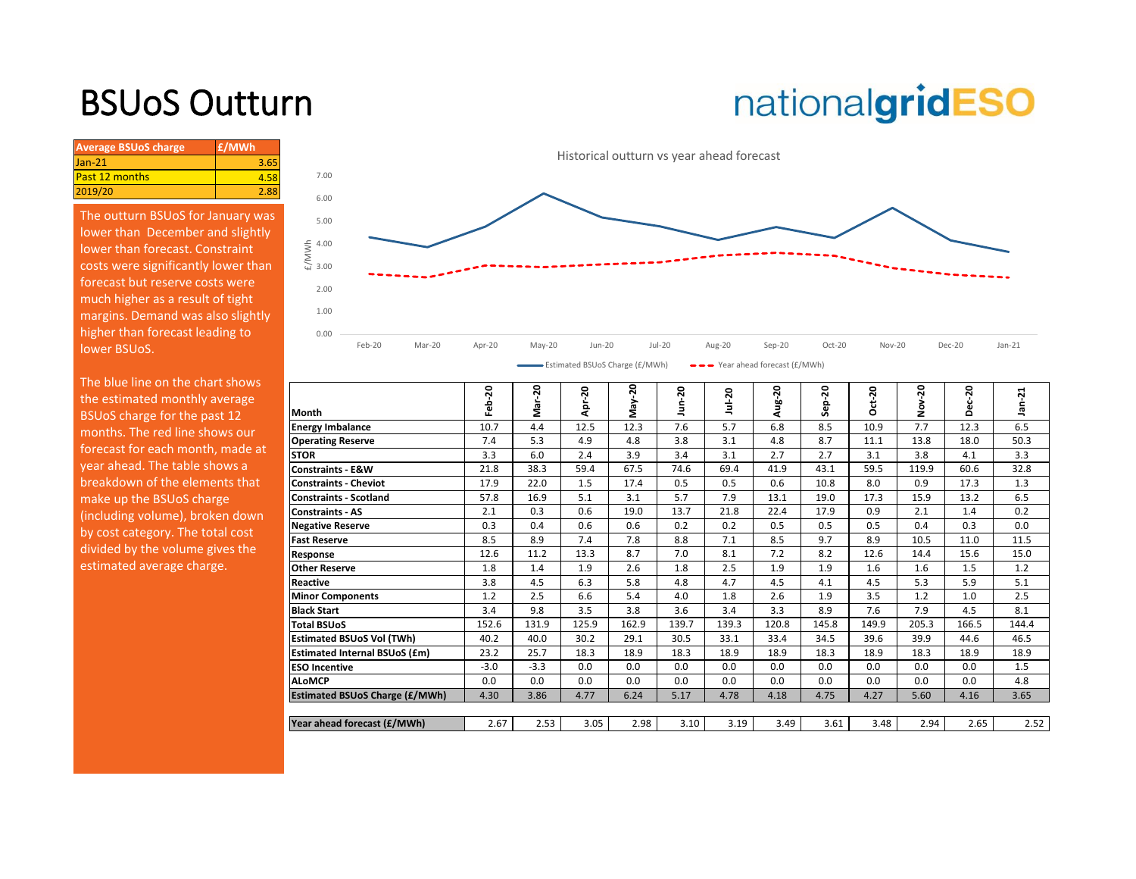## BSUoS Outturn

# nationalgridESO

| <b>Average BSUoS charge</b> | £/MWh |
|-----------------------------|-------|
| $Jan-21$                    | 3.65  |
| <b>Past 12 months</b>       | 4.58  |
| 2019/20                     | 2.88  |

The outturn BSUoS for January was lower than December and slightly lower than forecast. Constraint costs were significantly lower than forecast but reserve costs were much higher as a result of tight margins. Demand was also slightly higher than forecast leading to lower BSUoS.



| The blue line on the chart shows<br>the estimated monthly average<br>BSUoS charge for the past 12<br>months. The red line shows our<br>forecast for each month, made at<br>year ahead. The table shows a<br>breakdown of the elements that | Month<br><b>Energy Imbalance</b><br><b>Operating Reserve</b><br><b>STOR</b><br><b>Constraints - E&amp;W</b> | 20<br>읇<br>10.7<br>7.4<br>3.3<br>21.8 | ຊ<br>Σ.<br>4.4<br>5.3<br>6.0<br>38.3 | 50<br>훋<br>12.5<br>4.9<br>2.4<br>59.4 | 50<br>γ<br>Σ<br>12.3<br>4.8<br>3.9<br>67.5<br>17.4 | Jun-20<br>7.6<br>3.8<br>3.4<br>74.6 | $Jul-20$<br>5.7<br>3.1<br>3.1<br>69.4 | Aug-20<br>6.8<br>4.8<br>2.7<br>41.9 | ep-20<br>Ū.<br>8.5<br>8.7<br>2.7<br>43.1 | $ct-20$<br>Ō<br>10.9<br>11.1<br>3.1<br>59.5 | ສ<br>ş<br>7.7<br>13.8<br>3.8<br>119.9 | 20<br>ō<br>ō<br>12.3<br>18.0<br>4.1<br>60.6<br>17.3 | ⊣<br>Ņ<br><u>۾</u><br>6.5<br>50.3<br>3.3<br>32.8 |
|--------------------------------------------------------------------------------------------------------------------------------------------------------------------------------------------------------------------------------------------|-------------------------------------------------------------------------------------------------------------|---------------------------------------|--------------------------------------|---------------------------------------|----------------------------------------------------|-------------------------------------|---------------------------------------|-------------------------------------|------------------------------------------|---------------------------------------------|---------------------------------------|-----------------------------------------------------|--------------------------------------------------|
| make up the BSUoS charge                                                                                                                                                                                                                   | <b>Constraints - Cheviot</b><br><b>Constraints - Scotland</b>                                               | 17.9<br>57.8                          | 22.0<br>16.9                         | 1.5<br>5.1                            | 3.1                                                | 0.5<br>5.7                          | 0.5<br>7.9                            | 0.6<br>13.1                         | 10.8<br>19.0                             | 8.0<br>17.3                                 | 0.9<br>15.9                           | 13.2                                                | 1.3<br>6.5                                       |
| (including volume), broken down                                                                                                                                                                                                            | <b>Constraints - AS</b>                                                                                     | 2.1                                   | 0.3                                  | 0.6                                   | 19.0                                               | 13.7                                | 21.8                                  | 22.4                                | 17.9                                     | 0.9                                         | 2.1                                   | 1.4                                                 | 0.2                                              |
| by cost category. The total cost                                                                                                                                                                                                           | <b>Negative Reserve</b>                                                                                     | 0.3                                   | 0.4                                  | 0.6                                   | 0.6                                                | 0.2                                 | 0.2                                   | 0.5                                 | 0.5                                      | 0.5                                         | 0.4                                   | 0.3                                                 | 0.0                                              |
| divided by the volume gives the                                                                                                                                                                                                            | <b>Fast Reserve</b>                                                                                         | 8.5                                   | 8.9                                  | 7.4                                   | 7.8                                                | 8.8                                 | 7.1                                   | 8.5                                 | 9.7                                      | 8.9                                         | 10.5                                  | 11.0                                                | 11.5                                             |
|                                                                                                                                                                                                                                            | Response                                                                                                    | 12.6                                  | 11.2                                 | 13.3                                  | 8.7                                                | 7.0                                 | 8.1                                   | 7.2                                 | 8.2                                      | 12.6                                        | 14.4                                  | 15.6                                                | 15.0                                             |
| estimated average charge.                                                                                                                                                                                                                  | <b>Other Reserve</b>                                                                                        | 1.8                                   | 1.4                                  | 1.9                                   | 2.6                                                | 1.8                                 | 2.5                                   | 1.9                                 | 1.9                                      | 1.6                                         | $1.6\phantom{0}$                      | 1.5                                                 | 1.2                                              |
|                                                                                                                                                                                                                                            | Reactive                                                                                                    | 3.8                                   | 4.5                                  | 6.3                                   | 5.8                                                | 4.8                                 | 4.7                                   | 4.5                                 | 4.1                                      | 4.5                                         | 5.3                                   | 5.9                                                 | 5.1                                              |
|                                                                                                                                                                                                                                            | <b>Minor Components</b>                                                                                     | 1.2                                   | 2.5                                  | 6.6                                   | 5.4                                                | 4.0                                 | 1.8                                   | 2.6                                 | 1.9                                      | 3.5                                         | 1.2                                   | 1.0                                                 | 2.5                                              |
|                                                                                                                                                                                                                                            | <b>Black Start</b>                                                                                          | 3.4                                   | 9.8                                  | 3.5                                   | 3.8                                                | 3.6                                 | 3.4                                   | 3.3                                 | 8.9                                      | 7.6                                         | 7.9                                   | 4.5                                                 | 8.1                                              |
|                                                                                                                                                                                                                                            | <b>Total BSUoS</b>                                                                                          | 152.6                                 | 131.9                                | 125.9                                 | 162.9                                              | 139.7                               | 139.3                                 | 120.8                               | 145.8                                    | 149.9                                       | 205.3                                 | 166.5                                               | 144.4                                            |
|                                                                                                                                                                                                                                            | <b>Estimated BSUoS Vol (TWh)</b>                                                                            | 40.2                                  | 40.0                                 | 30.2                                  | 29.1                                               | 30.5                                | 33.1                                  | 33.4                                | 34.5                                     | 39.6                                        | 39.9                                  | 44.6                                                | 46.5                                             |
|                                                                                                                                                                                                                                            | <b>Estimated Internal BSUoS (£m)</b>                                                                        | 23.2                                  | 25.7                                 | 18.3                                  | 18.9                                               | 18.3                                | 18.9                                  | 18.9                                | 18.3                                     | 18.9                                        | 18.3                                  | 18.9                                                | 18.9                                             |
|                                                                                                                                                                                                                                            | <b>ESO Incentive</b>                                                                                        | $-3.0$                                | $-3.3$                               | 0.0                                   | 0.0                                                | 0.0                                 | 0.0                                   | 0.0                                 | 0.0                                      | 0.0                                         | 0.0                                   | 0.0                                                 | 1.5                                              |
|                                                                                                                                                                                                                                            | <b>ALOMCP</b>                                                                                               | 0.0                                   | 0.0                                  | 0.0                                   | 0.0                                                | 0.0                                 | 0.0                                   | 0.0                                 | 0.0                                      | 0.0                                         | 0.0                                   | 0.0                                                 | 4.8                                              |
|                                                                                                                                                                                                                                            | <b>Estimated BSUoS Charge (£/MWh)</b>                                                                       | 4.30                                  | 3.86                                 | 4.77                                  | 6.24                                               | 5.17                                | 4.78                                  | 4.18                                | 4.75                                     | 4.27                                        | 5.60                                  | 4.16                                                | 3.65                                             |
|                                                                                                                                                                                                                                            |                                                                                                             |                                       |                                      |                                       |                                                    |                                     |                                       |                                     |                                          |                                             |                                       |                                                     |                                                  |
|                                                                                                                                                                                                                                            | Year ahead forecast (£/MWh)                                                                                 | 2.67                                  | 2.53                                 | 3.05                                  | 2.98                                               | 3.10                                | 3.19                                  | 3.49                                | 3.61                                     | 3.48                                        | 2.94                                  | 2.65                                                | 2.52                                             |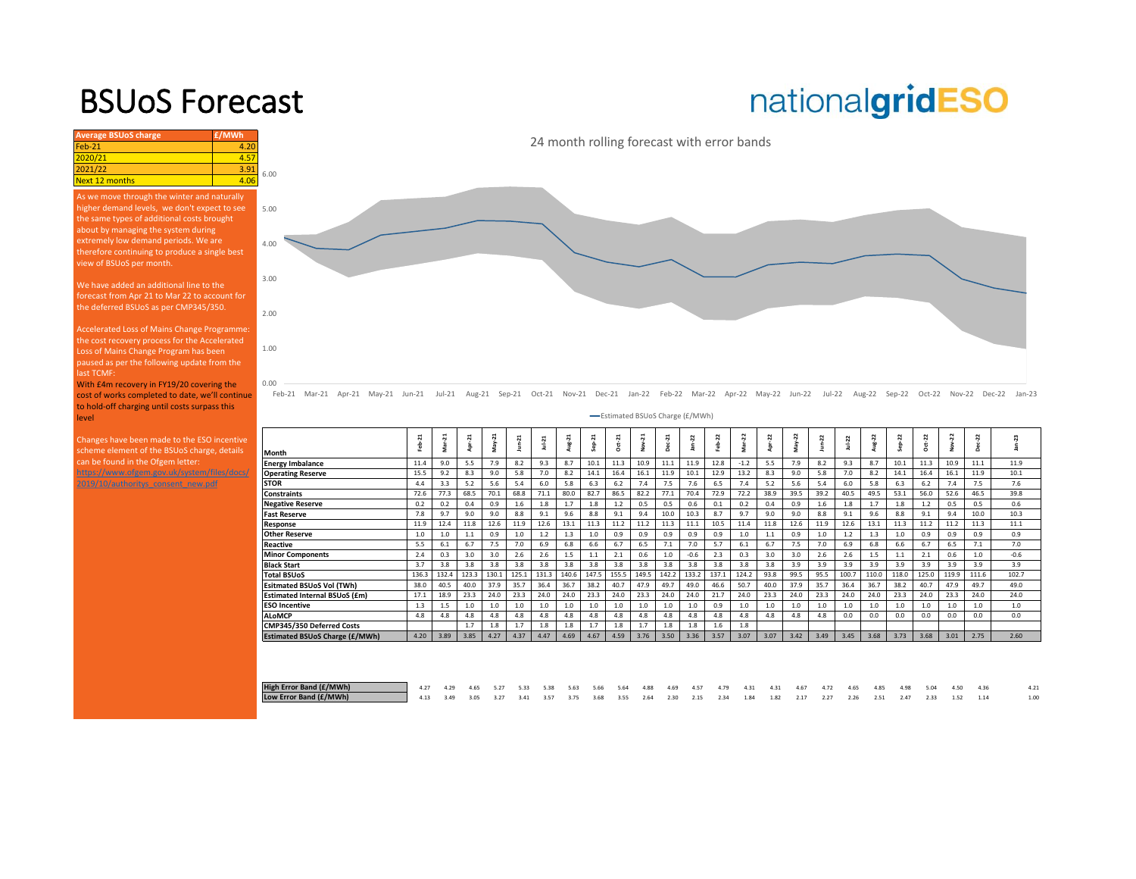### BSUoS Forecast

# nationalgridESO

| <b>Average BSUoS charge</b>                                                                                                                                                                        | £/MWh |                                                  |                      |
|----------------------------------------------------------------------------------------------------------------------------------------------------------------------------------------------------|-------|--------------------------------------------------|----------------------|
| $Feh-21$                                                                                                                                                                                           | 4.20  |                                                  |                      |
| 2020/21                                                                                                                                                                                            | 4.57  |                                                  |                      |
| 2021/22                                                                                                                                                                                            | 3.91  | 6.00                                             |                      |
| <b>Next 12 months</b>                                                                                                                                                                              | 4.06  |                                                  |                      |
| As we move through the winter and naturally<br>higher demand levels, we don't expect to see<br>the same types of additional costs brought<br>about by managing the system during                   |       | 5.00                                             |                      |
| extremely low demand periods. We are<br>therefore continuing to produce a single best<br>view of BSUoS per month.                                                                                  |       | 4.00                                             |                      |
| We have added an additional line to the<br>forecast from Apr 21 to Mar 22 to account for<br>the deferred BSUoS as per CMP345/350.                                                                  |       | 3.00                                             |                      |
| Accelerated Loss of Mains Change Programme:<br>the cost recovery process for the Accelerated<br>Loss of Mains Change Program has been<br>paused as per the following update from the<br>last TCMF: |       | 2.00<br>1.00                                     |                      |
| With £4m recovery in FY19/20 covering the<br>cost of works completed to date, we'll continue<br>to hold-off charging until costs surpass this<br>level                                             |       | 0.00<br>$Feh-21$<br>$Mav-21$<br>Mar-21<br>Apr-21 | $Jun-21$             |
| Changes have been made to the ESO incentive<br>scheme element of the BSUoS charge, details                                                                                                         |       | Month                                            | Feb-21               |
| can be found in the Ofgem letter:                                                                                                                                                                  |       | <b>Energy Imbalance</b>                          | 11.4                 |
| https://www.ofgem.gov.uk/system/files/docs/                                                                                                                                                        |       | <b>Operating Reserve</b>                         | 15.5                 |
| 2019/10/authoritys consent new.pdf                                                                                                                                                                 |       | <b>STOR</b><br>والمنافس والمنا                   | 4.4<br>$\rightarrow$ |

Jul-21 Aug-21 Sep-21 Oct-21 Nov-21 Dec-21 Jan-22 Feb-22 Mar-22 Apr-22 May-22 Jun-22 Jul-22 Aug-22 Sep-22 Oct-22 Nov-22 Dec-22 Jan-23

|                                | -Estimated BSUoS Charge (£/MWh) |                  |        |        |              |         |        |        |           |                                 |                  |         |       |              |      |          |         |            |       |         |        |        |               |        |  |
|--------------------------------|---------------------------------|------------------|--------|--------|--------------|---------|--------|--------|-----------|---------------------------------|------------------|---------|-------|--------------|------|----------|---------|------------|-------|---------|--------|--------|---------------|--------|--|
|                                | $\sim$<br>ė                     | $\ddot{ }$<br>Š. | ನ<br>å | May-21 | $J$ un- $21$ | $Ju-21$ | ដ<br>쓸 | $\sim$ | $2a + 21$ | $\overline{\mathbf{a}}$<br>Nov- | $\sim$<br>۰<br>ዳ | $an-22$ | 22    | 22<br>å<br>s | j.   | $May-22$ | $un-22$ | $Jul - 22$ | ģ     | 22<br>é | 2<br>ğ | Nov-22 | 22<br>٠<br>ది | -23    |  |
| Month                          |                                 |                  |        |        |              |         |        |        |           |                                 |                  |         |       |              |      |          |         |            |       | ū       |        |        |               |        |  |
| Energy Imbalance               | 11.4                            | 9.0              | 5.5    | 7.9    | 8.2          | 9.3     | 8.7    | 10.1   | 11.3      | 10.9                            | 11.1             | 11.9    | 12.8  | $-1.2$       | 5.5  | 7.9      | 8.2     | 9.3        | 8.7   | 10.1    | 11.3   | 10.9   | 11.1          | 11.9   |  |
| <b>Operating Reserve</b>       | 15.5                            | 9.2              | 8.3    | 9.0    | 5.8          | 7.0     | 8.2    | 14.1   | 16.4      | 16.1                            | 11.9             | 10.1    | 12.9  | 13.2         | 8.3  | 9.0      | 5.8     | 7.0        | 8.2   | 14.1    | 16.4   | 16.1   | 11.9          | 10.1   |  |
| <b>STOR</b>                    | 4.4                             | 3.3              | 5.2    | 5.6    | 5.4          | 6.0     | 5.8    | 6.3    | 6.2       | 7.4                             | 7.5              | 7.6     | 6.5   | 7.4          | 5.2  | 5.6      | 5.4     | 6.0        | 5.8   | 6.3     | 6.2    | 7.4    | 7.5           | 7.6    |  |
| <b>Constraints</b>             | 72.6                            | 77.3             | 68.5   | 70.1   | 68.8         | 71.1    | 80.0   | 82.7   | 86.5      | 82.2                            | 77.1             | 70.4    | 72.9  | 72.2         | 38.9 | 39.5     | 39.2    | 40.5       | 49.5  | 53.1    | 56.0   | 52.6   | 46.5          | 39.8   |  |
| <b>Negative Reserve</b>        | 0.2                             | 0.2              | 0.4    | 0.9    | 1.6          | 1.8     | 1.7    | 1.8    | 1.2       | 0.5                             | 0.5              | 0.6     | 0.1   | 0.2          | 0.4  | 0.9      | 1.6     | 1.8        | 1.7   | 1.8     | 1.2    | 0.5    | 0.5           | 0.6    |  |
| <b>Fast Reserve</b>            | 7.8                             | 9.7              | 9.0    | 9.0    | 8.8          | 9.1     | 9.6    | 8.8    | 9.1       | 9.4                             | 10.0             | 10.3    | 8.7   | 9.7          | 9.0  | 9.0      | 8.8     | 9.1        | 9.6   | 8.8     | 9.1    | 9.4    | 10.0          | 10.3   |  |
| Response                       | 11.9                            | 12.4             | 11.8   | 12.6   | 11.9         | 12.6    | 13.1   | 11.3   | 11.2      | 11.2                            | 11.3             | 11.1    | 10.5  | 11.4         | 11.8 | 12.6     | 11.9    | 12.6       | 13.1  | 11.3    | 11.2   | 11.2   | 11.3          | 11.1   |  |
| Other Reserve                  | 1.0                             | 1.0              | 1.1    | 0.9    | 1.0          | 1.2     | 1.3    | 1.0    | 0.9       | 0.9                             | 0.9              | 0.9     | 0.9   | 1.0          | 1.1  | 0.9      | 1.0     | 1.2        | 1.3   | 1.0     | 0.9    | 0.9    | 0.9           | 0.9    |  |
| Reactive                       | 5.5                             | 6.1              | 6.7    | 7.5    | 7.0          | 6.9     | 6.8    | 6.6    | 6.7       | 6.5                             | 7.1              | 7.0     | 5.7   | 6.1          | 6.7  | 7.5      | 7.0     | 6.9        | 6.8   | 6.6     | 6.7    | 6.5    | 7.1           | 7.0    |  |
| <b>Minor Components</b>        | 2.4                             | 0.3              | 3.0    | 3.0    | 2.6          | 2.6     | 1.5    | 1.1    | 2.1       | 0.6                             | 1.0              | $-0.6$  | 2.3   | 0.3          | 3.0  | 3.0      | 2.6     | 2.6        | 1.5   | 1.1     | 2.1    | 0.6    | 1.0           | $-0.6$ |  |
| Black Start                    | 3.7                             | 3.8              | 3.8    | 3.8    | 3.8          | 3.8     | 3.8    | 3.8    | 3.8       | 3.8                             | 3.8              | 3.8     | 3.8   | 3.8          | 3.8  | 3.9      | 3.9     | 3.9        | 3.9   | 3.9     | 3.9    | 3.9    | 3.9           | 3.9    |  |
| <b>Total BSUoS</b>             | 136.3                           | 132.4            | 123.3  | 130.1  | 125.1        | 131.3   | 140.6  | 147.5  | 155.5     | 149.5                           | 142.2            | 133.2   | 137.1 | 124.2        | 93.8 | 99.5     | 95.5    | 100.7      | 110.0 | 118.0   | 125.0  | 119.9  | 111.6         | 102.7  |  |
| Esitmated BSUoS Vol (TWh)      | 38.0                            | 40.5             | 40.0   | 37.9   | 35.7         | 36.4    | 36.7   | 38.2   | 40.7      | 47.9                            | 49.7             | 49.0    | 46.6  | 50.7         | 40.0 | 37.9     | 35.7    | 36.4       | 36.7  | 38.2    | 40.7   | 47.9   | 49.7          | 49.0   |  |
| Estimated Internal BSUoS (£m)  | 17.1                            | 18.9             | 23.3   | 24.0   | 23.3         | 24.0    | 24.0   | 23.3   | 24.0      | 23.3                            | 24.0             | 24.0    | 21.7  | 24.0         | 23.3 | 24.0     | 23.3    | 24.0       | 24.0  | 23.3    | 24.0   | 23.3   | 24.0          | 24.0   |  |
| <b>ESO Incentive</b>           | 1.3                             | 1.5              | 1.0    | 1.0    | 1.0          | 1.0     | 1.0    | 1.0    | 1.0       | 1.0                             | 1.0              | 1.0     | 0.9   | 1.0          | 1.0  | 1.0      | 1.0     | 1.0        | 1.0   | 1.0     | 1.0    | 1.0    | 1.0           | 1.0    |  |
| <b>ALoMCP</b>                  | 4.8                             | 4.8              | 4.8    | 4.8    | 4.8          | 4.8     | 4.8    | 4.8    | 4.8       | 4.8                             | 4.8              | 4.8     | 4.8   | 4.8          | 4.8  | 4.8      | 4.8     | 0.0        | 0.0   | 0.0     | 0.0    | 0.0    | 0.0           | 0.0    |  |
| CMP345/350 Deferred Costs      |                                 |                  | 1.7    | 1.8    | 1.7          | 1.8     | 1.8    | 1.7    | 1.8       | 1.7                             | 1.8              | 1.8     | 1.6   | 1.8          |      |          |         |            |       |         |        |        |               |        |  |
| Estimated BSUoS Charge (£/MWh) | 4.20                            | 3.89             | 3.85   | 4.27   | 4.37         | 4.47    | 4.69   | 4.67   | 4.59      | 3.76                            | 3.50             | 3.36    | 3.57  | 3.07         | 3.07 | 3.42     | 3.49    | 3.45       | 3.68  | 3.73    | 3.68   | 3.01   | 2.75          | 2.60   |  |
|                                |                                 |                  |        |        |              |         |        |        |           |                                 |                  |         |       |              |      |          |         |            |       |         |        |        |               |        |  |

| High Error Band (£/MWh) | 4.27 4.29 4.65 5.27 5.33 5.38 5.63 5.66 5.64 4.88 4.69 4.57 4.79 4.31 4.31 4.67 4.72 4.65 4.85 4.98 5.04 4.50 4.36 |  |  |  |  |  |  |  |  |  |  |  |  |
|-------------------------|--------------------------------------------------------------------------------------------------------------------|--|--|--|--|--|--|--|--|--|--|--|--|
| Low Error Band (£/MWh)  | 4 13 3.49 3.05 3.27 3.41 3.57 3.75 3.68 3.55 2.64 2.30 2.15 2.34 1.84 1.82 2.17 2.27 2.26 2.51 2.47 2.33 1.52 1.14 |  |  |  |  |  |  |  |  |  |  |  |  |

#### 24 month rolling forecast with error bands